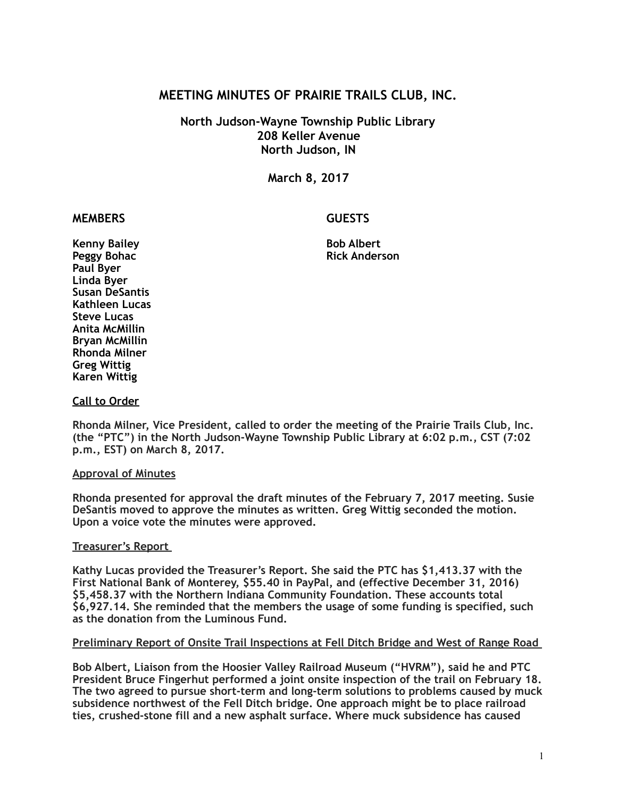# **MEETING MINUTES OF PRAIRIE TRAILS CLUB, INC.**

# **North Judson-Wayne Township Public Library 208 Keller Avenue North Judson, IN**

**March 8, 2017** 

# **MEMBERS GUESTS**

**Kenny Bailey Communist Communist Communist Communist Communist Communist Communist Communist Communist Communist Communist Communist Communist Communist Communist Communist Communist Communist Communist Communist Communis Paul Byer Linda Byer Susan DeSantis Kathleen Lucas Steve Lucas Anita McMillin Bryan McMillin Rhonda Milner Greg Wittig Karen Wittig** 

**Peggy Bohac Rick Anderson** 

## **Call to Order**

**Rhonda Milner, Vice President, called to order the meeting of the Prairie Trails Club, Inc. (the "PTC") in the North Judson-Wayne Township Public Library at 6:02 p.m., CST (7:02 p.m., EST) on March 8, 2017.** 

#### **Approval of Minutes**

**Rhonda presented for approval the draft minutes of the February 7, 2017 meeting. Susie DeSantis moved to approve the minutes as written. Greg Wittig seconded the motion. Upon a voice vote the minutes were approved.** 

## **Treasurer's Report**

**Kathy Lucas provided the Treasurer's Report. She said the PTC has \$1,413.37 with the First National Bank of Monterey, \$55.40 in PayPal, and (effective December 31, 2016) \$5,458.37 with the Northern Indiana Community Foundation. These accounts total \$6,927.14. She reminded that the members the usage of some funding is specified, such as the donation from the Luminous Fund.** 

#### **Preliminary Report of Onsite Trail Inspections at Fell Ditch Bridge and West of Range Road**

**Bob Albert, Liaison from the Hoosier Valley Railroad Museum ("HVRM"), said he and PTC President Bruce Fingerhut performed a joint onsite inspection of the trail on February 18. The two agreed to pursue short-term and long-term solutions to problems caused by muck subsidence northwest of the Fell Ditch bridge. One approach might be to place railroad ties, crushed-stone fill and a new asphalt surface. Where muck subsidence has caused**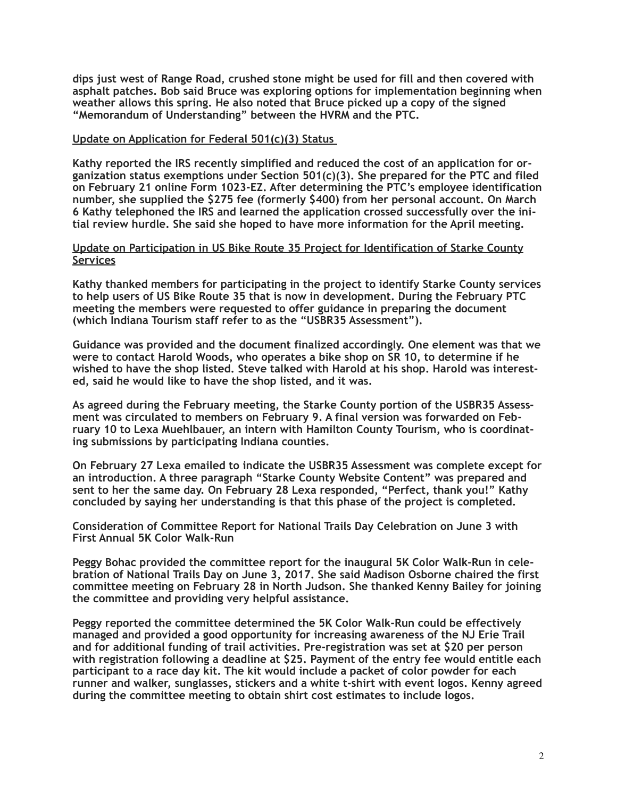**dips just west of Range Road, crushed stone might be used for fill and then covered with asphalt patches. Bob said Bruce was exploring options for implementation beginning when weather allows this spring. He also noted that Bruce picked up a copy of the signed "Memorandum of Understanding" between the HVRM and the PTC.** 

#### **Update on Application for Federal 501(c)(3) Status**

**Kathy reported the IRS recently simplified and reduced the cost of an application for organization status exemptions under Section 501(c)(3). She prepared for the PTC and filed on February 21 online Form 1023-EZ. After determining the PTC's employee identification number, she supplied the \$275 fee (formerly \$400) from her personal account. On March 6 Kathy telephoned the IRS and learned the application crossed successfully over the initial review hurdle. She said she hoped to have more information for the April meeting.** 

#### **Update on Participation in US Bike Route 35 Project for Identification of Starke County Services**

**Kathy thanked members for participating in the project to identify Starke County services to help users of US Bike Route 35 that is now in development. During the February PTC meeting the members were requested to offer guidance in preparing the document (which Indiana Tourism staff refer to as the "USBR35 Assessment").** 

**Guidance was provided and the document finalized accordingly. One element was that we were to contact Harold Woods, who operates a bike shop on SR 10, to determine if he wished to have the shop listed. Steve talked with Harold at his shop. Harold was interested, said he would like to have the shop listed, and it was.** 

**As agreed during the February meeting, the Starke County portion of the USBR35 Assessment was circulated to members on February 9. A final version was forwarded on February 10 to Lexa Muehlbauer, an intern with Hamilton County Tourism, who is coordinating submissions by participating Indiana counties.** 

**On February 27 Lexa emailed to indicate the USBR35 Assessment was complete except for an introduction. A three paragraph "Starke County Website Content" was prepared and sent to her the same day. On February 28 Lexa responded, "Perfect, thank you!" Kathy concluded by saying her understanding is that this phase of the project is completed.** 

**Consideration of Committee Report for National Trails Day Celebration on June 3 with First Annual 5K Color Walk-Run** 

**Peggy Bohac provided the committee report for the inaugural 5K Color Walk-Run in celebration of National Trails Day on June 3, 2017. She said Madison Osborne chaired the first committee meeting on February 28 in North Judson. She thanked Kenny Bailey for joining the committee and providing very helpful assistance.** 

**Peggy reported the committee determined the 5K Color Walk-Run could be effectively managed and provided a good opportunity for increasing awareness of the NJ Erie Trail and for additional funding of trail activities. Pre-registration was set at \$20 per person with registration following a deadline at \$25. Payment of the entry fee would entitle each participant to a race day kit. The kit would include a packet of color powder for each runner and walker, sunglasses, stickers and a white t-shirt with event logos. Kenny agreed during the committee meeting to obtain shirt cost estimates to include logos.**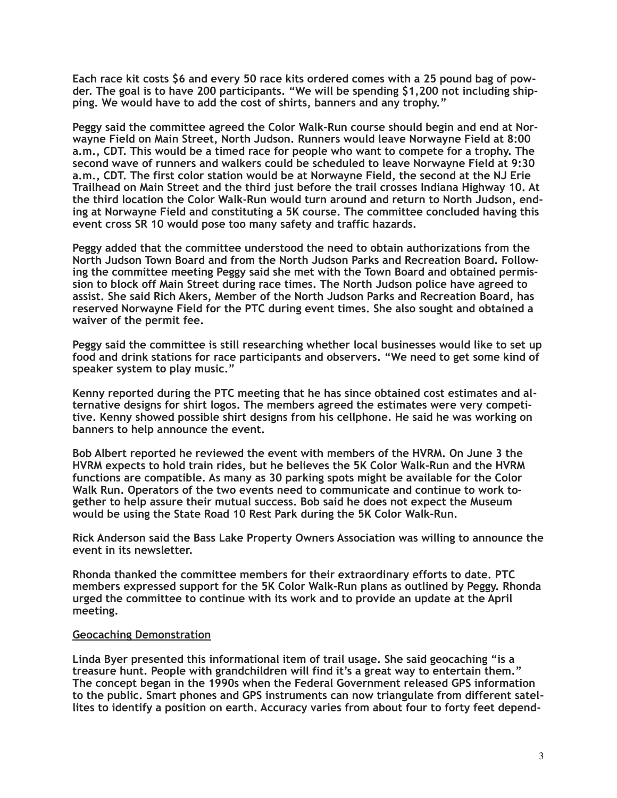**Each race kit costs \$6 and every 50 race kits ordered comes with a 25 pound bag of powder. The goal is to have 200 participants. "We will be spending \$1,200 not including shipping. We would have to add the cost of shirts, banners and any trophy."** 

**Peggy said the committee agreed the Color Walk-Run course should begin and end at Norwayne Field on Main Street, North Judson. Runners would leave Norwayne Field at 8:00 a.m., CDT. This would be a timed race for people who want to compete for a trophy. The second wave of runners and walkers could be scheduled to leave Norwayne Field at 9:30 a.m., CDT. The first color station would be at Norwayne Field, the second at the NJ Erie Trailhead on Main Street and the third just before the trail crosses Indiana Highway 10. At the third location the Color Walk-Run would turn around and return to North Judson, ending at Norwayne Field and constituting a 5K course. The committee concluded having this event cross SR 10 would pose too many safety and traffic hazards.** 

**Peggy added that the committee understood the need to obtain authorizations from the North Judson Town Board and from the North Judson Parks and Recreation Board. Following the committee meeting Peggy said she met with the Town Board and obtained permission to block off Main Street during race times. The North Judson police have agreed to assist. She said Rich Akers, Member of the North Judson Parks and Recreation Board, has reserved Norwayne Field for the PTC during event times. She also sought and obtained a waiver of the permit fee.** 

**Peggy said the committee is still researching whether local businesses would like to set up food and drink stations for race participants and observers. "We need to get some kind of speaker system to play music."** 

**Kenny reported during the PTC meeting that he has since obtained cost estimates and alternative designs for shirt logos. The members agreed the estimates were very competitive. Kenny showed possible shirt designs from his cellphone. He said he was working on banners to help announce the event.** 

**Bob Albert reported he reviewed the event with members of the HVRM. On June 3 the HVRM expects to hold train rides, but he believes the 5K Color Walk-Run and the HVRM functions are compatible. As many as 30 parking spots might be available for the Color Walk Run. Operators of the two events need to communicate and continue to work together to help assure their mutual success. Bob said he does not expect the Museum would be using the State Road 10 Rest Park during the 5K Color Walk-Run.** 

**Rick Anderson said the Bass Lake Property Owners Association was willing to announce the event in its newsletter.** 

**Rhonda thanked the committee members for their extraordinary efforts to date. PTC members expressed support for the 5K Color Walk-Run plans as outlined by Peggy. Rhonda urged the committee to continue with its work and to provide an update at the April meeting.** 

#### **Geocaching Demonstration**

**Linda Byer presented this informational item of trail usage. She said geocaching "is a treasure hunt. People with grandchildren will find it's a great way to entertain them." The concept began in the 1990s when the Federal Government released GPS information to the public. Smart phones and GPS instruments can now triangulate from different satellites to identify a position on earth. Accuracy varies from about four to forty feet depend-**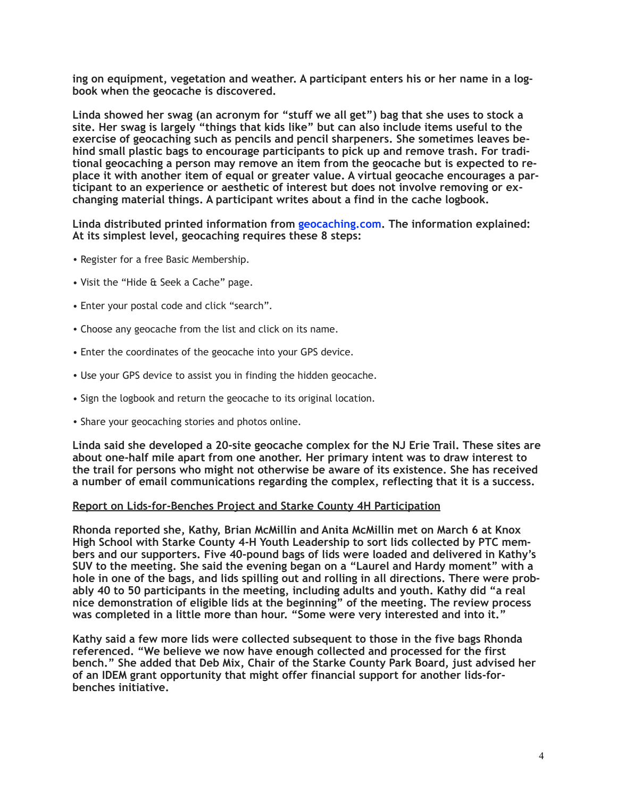**ing on equipment, vegetation and weather. A participant enters his or her name in a logbook when the geocache is discovered.** 

**Linda showed her swag (an acronym for "stuff we all get") bag that she uses to stock a site. Her swag is largely "things that kids like" but can also include items useful to the exercise of geocaching such as pencils and pencil sharpeners. She sometimes leaves behind small plastic bags to encourage participants to pick up and remove trash. For traditional geocaching a person may remove an item from the geocache but is expected to replace it with another item of equal or greater value. A virtual geocache encourages a participant to an experience or aesthetic of interest but does not involve removing or exchanging material things. A participant writes about a find in the cache logbook.** 

**Linda distributed printed information from geocaching.com. The information explained: At its simplest level, geocaching requires these 8 steps:** 

- Register for a free Basic Membership.
- Visit the "Hide & Seek a Cache" page.
- Enter your postal code and click "search".
- Choose any geocache from the list and click on its name.
- Enter the coordinates of the geocache into your GPS device.
- Use your GPS device to assist you in finding the hidden geocache.
- Sign the logbook and return the geocache to its original location.
- Share your geocaching stories and photos online.

**Linda said she developed a 20-site geocache complex for the NJ Erie Trail. These sites are about one-half mile apart from one another. Her primary intent was to draw interest to the trail for persons who might not otherwise be aware of its existence. She has received a number of email communications regarding the complex, reflecting that it is a success.** 

#### **Report on Lids-for-Benches Project and Starke County 4H Participation**

**Rhonda reported she, Kathy, Brian McMillin and Anita McMillin met on March 6 at Knox High School with Starke County 4-H Youth Leadership to sort lids collected by PTC members and our supporters. Five 40-pound bags of lids were loaded and delivered in Kathy's SUV to the meeting. She said the evening began on a "Laurel and Hardy moment" with a hole in one of the bags, and lids spilling out and rolling in all directions. There were probably 40 to 50 participants in the meeting, including adults and youth. Kathy did "a real nice demonstration of eligible lids at the beginning" of the meeting. The review process was completed in a little more than hour. "Some were very interested and into it."** 

**Kathy said a few more lids were collected subsequent to those in the five bags Rhonda referenced. "We believe we now have enough collected and processed for the first bench." She added that Deb Mix, Chair of the Starke County Park Board, just advised her of an IDEM grant opportunity that might offer financial support for another lids-forbenches initiative.**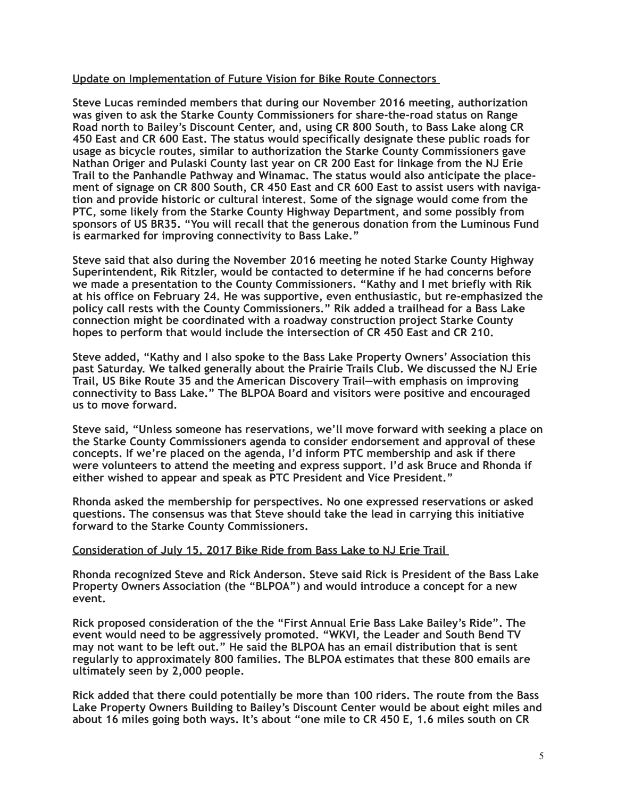## **Update on Implementation of Future Vision for Bike Route Connectors**

**Steve Lucas reminded members that during our November 2016 meeting, authorization was given to ask the Starke County Commissioners for share-the-road status on Range Road north to Bailey's Discount Center, and, using CR 800 South, to Bass Lake along CR 450 East and CR 600 East. The status would specifically designate these public roads for usage as bicycle routes, similar to authorization the Starke County Commissioners gave Nathan Origer and Pulaski County last year on CR 200 East for linkage from the NJ Erie Trail to the Panhandle Pathway and Winamac. The status would also anticipate the placement of signage on CR 800 South, CR 450 East and CR 600 East to assist users with navigation and provide historic or cultural interest. Some of the signage would come from the PTC, some likely from the Starke County Highway Department, and some possibly from sponsors of US BR35. "You will recall that the generous donation from the Luminous Fund is earmarked for improving connectivity to Bass Lake."** 

**Steve said that also during the November 2016 meeting he noted Starke County Highway Superintendent, Rik Ritzler, would be contacted to determine if he had concerns before we made a presentation to the County Commissioners. "Kathy and I met briefly with Rik at his office on February 24. He was supportive, even enthusiastic, but re-emphasized the policy call rests with the County Commissioners." Rik added a trailhead for a Bass Lake connection might be coordinated with a roadway construction project Starke County hopes to perform that would include the intersection of CR 450 East and CR 210.** 

**Steve added, "Kathy and I also spoke to the Bass Lake Property Owners' Association this past Saturday. We talked generally about the Prairie Trails Club. We discussed the NJ Erie Trail, US Bike Route 35 and the American Discovery Trail—with emphasis on improving connectivity to Bass Lake." The BLPOA Board and visitors were positive and encouraged us to move forward.** 

**Steve said, "Unless someone has reservations, we'll move forward with seeking a place on the Starke County Commissioners agenda to consider endorsement and approval of these concepts. If we're placed on the agenda, I'd inform PTC membership and ask if there were volunteers to attend the meeting and express support. I'd ask Bruce and Rhonda if either wished to appear and speak as PTC President and Vice President."** 

**Rhonda asked the membership for perspectives. No one expressed reservations or asked questions. The consensus was that Steve should take the lead in carrying this initiative forward to the Starke County Commissioners.**

## **Consideration of July 15, 2017 Bike Ride from Bass Lake to NJ Erie Trail**

**Rhonda recognized Steve and Rick Anderson. Steve said Rick is President of the Bass Lake Property Owners Association (the "BLPOA") and would introduce a concept for a new event.** 

**Rick proposed consideration of the the "First Annual Erie Bass Lake Bailey's Ride". The event would need to be aggressively promoted. "WKVI, the Leader and South Bend TV may not want to be left out." He said the BLPOA has an email distribution that is sent regularly to approximately 800 families. The BLPOA estimates that these 800 emails are ultimately seen by 2,000 people.** 

**Rick added that there could potentially be more than 100 riders. The route from the Bass Lake Property Owners Building to Bailey's Discount Center would be about eight miles and about 16 miles going both ways. It's about "one mile to CR 450 E, 1.6 miles south on CR**